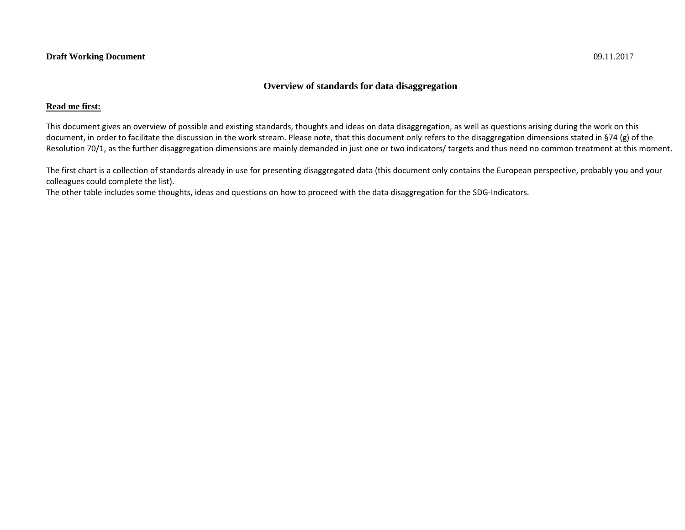### **Overview of standards for data disaggregation**

### **Read me first:**

This document gives an overview of possible and existing standards, thoughts and ideas on data disaggregation, as well as questions arising during the work on this document, in order to facilitate the discussion in the work stream. Please note, that this document only refers to the disaggregation dimensions stated in §74 (g) of the Resolution 70/1, as the further disaggregation dimensions are mainly demanded in just one or two indicators/ targets and thus need no common treatment at this moment.

The first chart is <sup>a</sup> collection of standards already in use for presenting disaggregated data (this document only contains the European perspective, probably you and your colleagues could complete the list).

The other table includes some thoughts, ideas and questions on how to proceed with the data disaggregation for the SDG‐Indicators.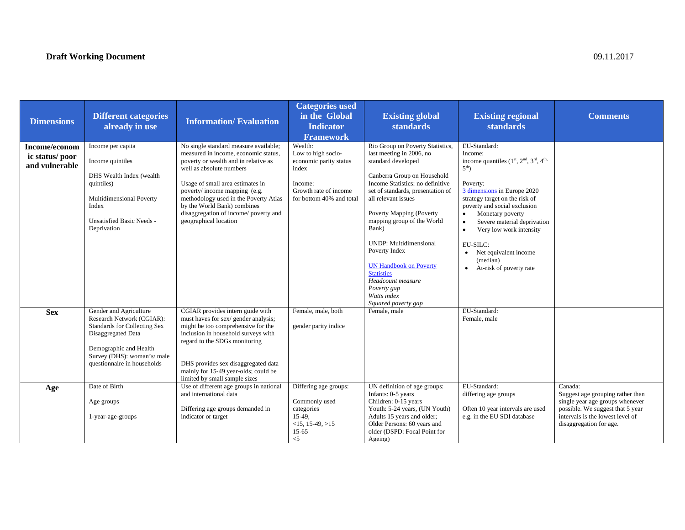| <b>Dimensions</b>                                 | <b>Different categories</b><br>already in use                                                                                                                                                            | <b>Information/Evaluation</b>                                                                                                                                                                                                                                                                                                                                  | <b>Categories</b> used<br>in the Global<br><b>Indicator</b><br><b>Framework</b>                                                  | <b>Existing global</b><br>standards                                                                                                                                                                                                                                                                                                                                                                                                                                    | <b>Existing regional</b><br>standards                                                                                                                                                                                                                                                                                                                                                           | <b>Comments</b>                                                                                                                                                                   |
|---------------------------------------------------|----------------------------------------------------------------------------------------------------------------------------------------------------------------------------------------------------------|----------------------------------------------------------------------------------------------------------------------------------------------------------------------------------------------------------------------------------------------------------------------------------------------------------------------------------------------------------------|----------------------------------------------------------------------------------------------------------------------------------|------------------------------------------------------------------------------------------------------------------------------------------------------------------------------------------------------------------------------------------------------------------------------------------------------------------------------------------------------------------------------------------------------------------------------------------------------------------------|-------------------------------------------------------------------------------------------------------------------------------------------------------------------------------------------------------------------------------------------------------------------------------------------------------------------------------------------------------------------------------------------------|-----------------------------------------------------------------------------------------------------------------------------------------------------------------------------------|
| Income/econom<br>ic status/poor<br>and vulnerable | Income per capita<br>Income quintiles<br>DHS Wealth Index (wealth<br>quintiles)<br>Multidimensional Poverty<br>Index<br>Unsatisfied Basic Needs -<br>Deprivation                                         | No single standard measure available;<br>measured in income, economic status,<br>poverty or wealth and in relative as<br>well as absolute numbers<br>Usage of small area estimates in<br>poverty/income mapping (e.g.<br>methodology used in the Poverty Atlas<br>by the World Bank) combines<br>disaggregation of income/poverty and<br>geographical location | Wealth:<br>Low to high socio-<br>economic parity status<br>index<br>Income:<br>Growth rate of income<br>for bottom 40% and total | Rio Group on Poverty Statistics,<br>last meeting in 2006, no<br>standard developed<br>Canberra Group on Household<br>Income Statistics: no definitive<br>set of standards, presentation of<br>all relevant issues<br>Poverty Mapping (Poverty<br>mapping group of the World<br>Bank)<br><b>UNDP:</b> Multidimensional<br>Poverty Index<br><b>UN Handbook on Poverty</b><br><b>Statistics</b><br>Headcount measure<br>Poverty gap<br>Watts index<br>Squared poverty gap | EU-Standard:<br>Income:<br>income quantiles $(1st, 2nd, 3rd, 4th)$<br>$5th$ )<br>Poverty:<br>3 dimensions in Europe 2020<br>strategy target on the risk of<br>poverty and social exclusion<br>Monetary poverty<br>$\bullet$<br>Severe material deprivation<br>$\bullet$<br>Very low work intensity<br>$\bullet$<br>EU-SILC:<br>• Net equivalent income<br>(median)<br>• At-risk of poverty rate |                                                                                                                                                                                   |
| <b>Sex</b>                                        | Gender and Agriculture<br>Research Network (CGIAR):<br><b>Standards for Collecting Sex</b><br>Disaggregated Data<br>Demographic and Health<br>Survey (DHS): woman's/ male<br>questionnaire in households | CGIAR provides intern guide with<br>must haves for sex/ gender analysis;<br>might be too comprehensive for the<br>inclusion in household surveys with<br>regard to the SDGs monitoring<br>DHS provides sex disaggregated data<br>mainly for 15-49 year-olds; could be<br>limited by small sample sizes                                                         | Female, male, both<br>gender parity indice                                                                                       | Female, male                                                                                                                                                                                                                                                                                                                                                                                                                                                           | EU-Standard:<br>Female, male                                                                                                                                                                                                                                                                                                                                                                    |                                                                                                                                                                                   |
| Age                                               | Date of Birth<br>Age groups<br>1-year-age-groups                                                                                                                                                         | Use of different age groups in national<br>and international data<br>Differing age groups demanded in<br>indicator or target                                                                                                                                                                                                                                   | Differing age groups:<br>Commonly used<br>categories<br>15-49.<br>$<15, 15-49, >15$<br>$15-65$<br>$<$ 5                          | UN definition of age groups:<br>Infants: 0-5 years<br>Children: 0-15 years<br>Youth: 5-24 years, (UN Youth)<br>Adults 15 years and older;<br>Older Persons: 60 years and<br>older (DSPD: Focal Point for<br>Ageing)                                                                                                                                                                                                                                                    | EU-Standard:<br>differing age groups<br>Often 10 year intervals are used<br>e.g. in the EU SDI database                                                                                                                                                                                                                                                                                         | Canada:<br>Suggest age grouping rather than<br>single year age groups whenever<br>possible. We suggest that 5 year<br>intervals is the lowest level of<br>disaggregation for age. |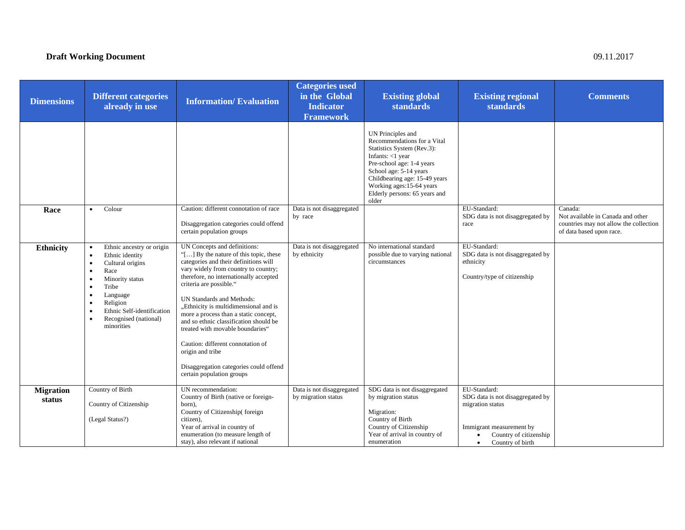| <b>Dimensions</b>          | <b>Different categories</b><br>already in use                                                                                                                                                                                                         | <b>Information/Evaluation</b>                                                                                                                                                                                                                                                                                                                                                                                                                                                                                                                             | <b>Categories used</b><br>in the Global<br><b>Indicator</b><br><b>Framework</b> | <b>Existing global</b><br><b>standards</b>                                                                                                                                                                                                                        | <b>Existing regional</b><br><b>standards</b>                                                                                                                | <b>Comments</b>                                                                                                    |
|----------------------------|-------------------------------------------------------------------------------------------------------------------------------------------------------------------------------------------------------------------------------------------------------|-----------------------------------------------------------------------------------------------------------------------------------------------------------------------------------------------------------------------------------------------------------------------------------------------------------------------------------------------------------------------------------------------------------------------------------------------------------------------------------------------------------------------------------------------------------|---------------------------------------------------------------------------------|-------------------------------------------------------------------------------------------------------------------------------------------------------------------------------------------------------------------------------------------------------------------|-------------------------------------------------------------------------------------------------------------------------------------------------------------|--------------------------------------------------------------------------------------------------------------------|
|                            |                                                                                                                                                                                                                                                       |                                                                                                                                                                                                                                                                                                                                                                                                                                                                                                                                                           |                                                                                 | UN Principles and<br>Recommendations for a Vital<br>Statistics System (Rev.3):<br>Infants: <1 year<br>Pre-school age: 1-4 years<br>School age: 5-14 years<br>Childbearing age: 15-49 years<br>Working ages: 15-64 years<br>Elderly persons: 65 years and<br>older |                                                                                                                                                             |                                                                                                                    |
| Race                       | Colour<br>$\bullet$                                                                                                                                                                                                                                   | Caution: different connotation of race<br>Disaggregation categories could offend<br>certain population groups                                                                                                                                                                                                                                                                                                                                                                                                                                             | Data is not disaggregated<br>by race                                            |                                                                                                                                                                                                                                                                   | EU-Standard:<br>SDG data is not disaggregated by<br>race                                                                                                    | Canada:<br>Not available in Canada and other<br>countries may not allow the collection<br>of data based upon race. |
| <b>Ethnicity</b>           | Ethnic ancestry or origin<br>$\bullet$<br>Ethnic identity<br>Cultural origins<br>$\bullet$<br>Race<br>$\bullet$<br>Minority status<br>Tribe<br>Language<br>Religion<br>$\bullet$<br>Ethnic Self-identification<br>Recognised (national)<br>minorities | UN Concepts and definitions:<br>"[] By the nature of this topic, these<br>categories and their definitions will<br>vary widely from country to country;<br>therefore, no internationally accepted<br>criteria are possible."<br>UN Standards and Methods:<br>"Ethnicity is multidimensional and is<br>more a process than a static concept,<br>and so ethnic classification should be<br>treated with movable boundaries"<br>Caution: different connotation of<br>origin and tribe<br>Disaggregation categories could offend<br>certain population groups | Data is not disaggregated<br>by ethnicity                                       | No international standard<br>possible due to varying national<br>circumstances                                                                                                                                                                                    | EU-Standard:<br>SDG data is not disaggregated by<br>ethnicity<br>Country/type of citizenship                                                                |                                                                                                                    |
| <b>Migration</b><br>status | Country of Birth<br>Country of Citizenship<br>(Legal Status?)                                                                                                                                                                                         | UN recommendation:<br>Country of Birth (native or foreign-<br>born),<br>Country of Citizenship(foreign<br>citizen),<br>Year of arrival in country of<br>enumeration (to measure length of<br>stay), also relevant if national                                                                                                                                                                                                                                                                                                                             | Data is not disaggregated<br>by migration status                                | SDG data is not disaggregated<br>by migration status<br>Migration:<br>Country of Birth<br>Country of Citizenship<br>Year of arrival in country of<br>enumeration                                                                                                  | EU-Standard:<br>SDG data is not disaggregated by<br>migration status<br>Immigrant measurement by<br>Country of citizenship<br>Country of birth<br>$\bullet$ |                                                                                                                    |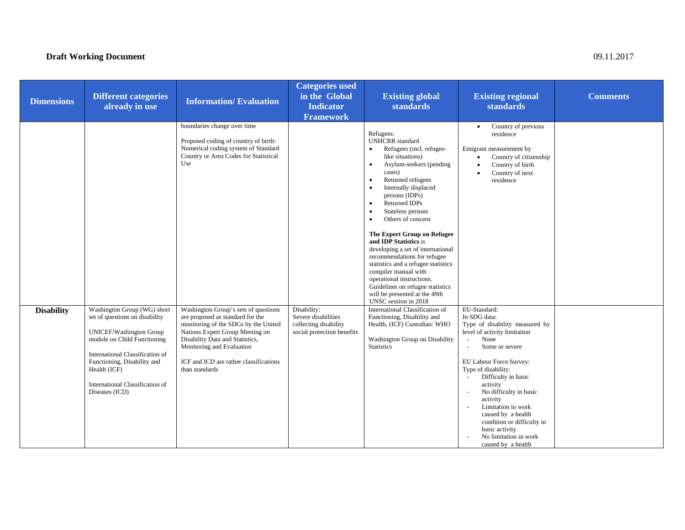#### **Dimensions Different categories Information/ Evaluation already in use Categories used in the Global Indicator Framework Existing global standards Existing regional standards Comments**  boundaries change over time Proposed coding of country of birth: Numerical coding system of Standard Country or Area Codes for Statistical Use Refugees: UNHCRR standard  $\bullet$  Refugees (incl. refugeelike situations)  $\bullet$  Asylum-seekers (pending cases)  $\bullet$  Returned refugees  $\bullet$  Internally displaced persons (IDPs) 0 • Returned IDPs . • Stateless persons 0 • Others of concern **The Expert Group on Refugee and IDP Statistics** is developing a set of international recommendations for refugee statistics and a refugee statistics compiler manual with operational instructions. Guidelines on refugee statistics will be presented at the 49th UNSC session in 2018 $\bullet$  Country of previous residence Emigrant measurement by  $\bullet$  Country of citizenship  $\bullet$  Country of birth  $\bullet$  Country of next residence UNICEF/Washington Group module on Child Functioning Washington Group's sets of questions are proposed as standard for the monitoring of the SDGs by the United Nations Expert Group Meeting on Disability Data and Statistics, Disability: Severe disabilities collecting disability social protection benefits International Classification of Functioning, Disability and Health, (ICF) Custodian: WHO Washington Group on Disability EU-Standard: In SDG data: Type of disability measured by level of activity limitation None

|                   |                                 |                                        |                            | persons (IDPs)<br><b>Returned IDPs</b><br>$\bullet$<br>Stateless persons<br>$\bullet$<br>Others of concern                                                                                                                                                                                |                                            |  |
|-------------------|---------------------------------|----------------------------------------|----------------------------|-------------------------------------------------------------------------------------------------------------------------------------------------------------------------------------------------------------------------------------------------------------------------------------------|--------------------------------------------|--|
|                   |                                 |                                        |                            | The Expert Group on Refugee<br>and IDP Statistics is<br>developing a set of international<br>recommendations for refugee<br>statistics and a refugee statistics<br>compiler manual with<br>operational instructions.<br>Guidelines on refugee statistics<br>will be presented at the 49th |                                            |  |
|                   |                                 |                                        |                            | UNSC session in 2018                                                                                                                                                                                                                                                                      |                                            |  |
| <b>Disability</b> | Washington Group (WG) short     | Washington Group's sets of questions   | Disability:                | International Classification of                                                                                                                                                                                                                                                           | EU-Standard:                               |  |
|                   | set of questions on disability  | are proposed as standard for the       | Severe disabilities        | Functioning, Disability and                                                                                                                                                                                                                                                               | In SDG data:                               |  |
|                   |                                 | monitoring of the SDGs by the United   | collecting disability      | Health, (ICF) Custodian: WHO                                                                                                                                                                                                                                                              | Type of disability measured by             |  |
|                   | UNICEF/Washington Group         | Nations Expert Group Meeting on        | social protection benefits |                                                                                                                                                                                                                                                                                           | level of activity limitation               |  |
|                   | module on Child Functioning     | Disability Data and Statistics,        |                            | Washington Group on Disability                                                                                                                                                                                                                                                            | None                                       |  |
|                   |                                 | Monitoring and Evaluation              |                            | <b>Statistics</b>                                                                                                                                                                                                                                                                         | Some or severe<br>$\overline{\phantom{a}}$ |  |
|                   | International Classification of |                                        |                            |                                                                                                                                                                                                                                                                                           |                                            |  |
|                   | Functioning, Disability and     | ICF and ICD are rather classifications |                            |                                                                                                                                                                                                                                                                                           | EU Labour Force Survey:                    |  |
|                   | Health (ICF)                    | than standards                         |                            |                                                                                                                                                                                                                                                                                           | Type of disability:                        |  |
|                   |                                 |                                        |                            |                                                                                                                                                                                                                                                                                           | Difficulty in basic                        |  |
|                   | International Classification of |                                        |                            |                                                                                                                                                                                                                                                                                           | activity                                   |  |
|                   | Diseases (ICD)                  |                                        |                            |                                                                                                                                                                                                                                                                                           | No difficulty in basic                     |  |
|                   |                                 |                                        |                            |                                                                                                                                                                                                                                                                                           | activity<br>Limitation in work             |  |
|                   |                                 |                                        |                            |                                                                                                                                                                                                                                                                                           | caused by a health                         |  |
|                   |                                 |                                        |                            |                                                                                                                                                                                                                                                                                           | condition or difficulty in                 |  |
|                   |                                 |                                        |                            |                                                                                                                                                                                                                                                                                           | basic activity                             |  |
|                   |                                 |                                        |                            |                                                                                                                                                                                                                                                                                           | No limitation in work                      |  |

caused by a health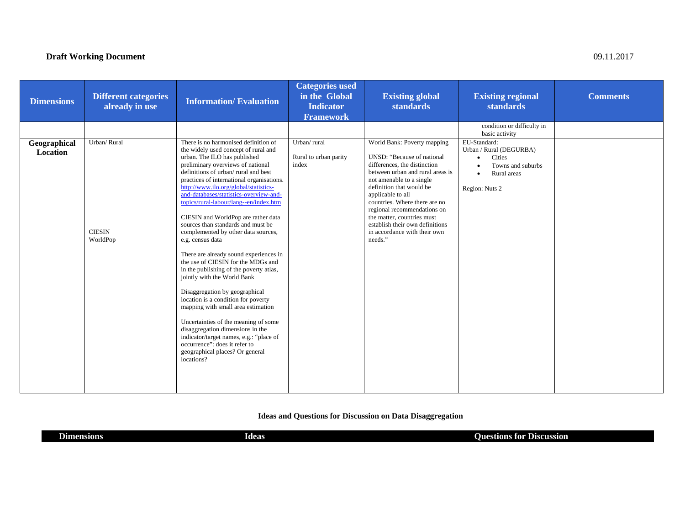| <b>Dimensions</b>        | <b>Different categories</b><br>already in use | <b>Information/Evaluation</b>                                                                                                                                                                                                                                                                                                                                                                                                                                                                                                                                                                                                                                                                                                                                                                                                                                                                                                                                                                | <b>Categories used</b><br>in the Global<br><b>Indicator</b><br><b>Framework</b> | <b>Existing global</b><br>standards                                                                                                                                                                                                                                                                                                                                                    | <b>Existing regional</b><br>standards                                                                   | <b>Comments</b> |
|--------------------------|-----------------------------------------------|----------------------------------------------------------------------------------------------------------------------------------------------------------------------------------------------------------------------------------------------------------------------------------------------------------------------------------------------------------------------------------------------------------------------------------------------------------------------------------------------------------------------------------------------------------------------------------------------------------------------------------------------------------------------------------------------------------------------------------------------------------------------------------------------------------------------------------------------------------------------------------------------------------------------------------------------------------------------------------------------|---------------------------------------------------------------------------------|----------------------------------------------------------------------------------------------------------------------------------------------------------------------------------------------------------------------------------------------------------------------------------------------------------------------------------------------------------------------------------------|---------------------------------------------------------------------------------------------------------|-----------------|
|                          |                                               |                                                                                                                                                                                                                                                                                                                                                                                                                                                                                                                                                                                                                                                                                                                                                                                                                                                                                                                                                                                              |                                                                                 |                                                                                                                                                                                                                                                                                                                                                                                        | condition or difficulty in<br>basic activity                                                            |                 |
| Geographical<br>Location | Urban/Rural<br><b>CIESIN</b><br>WorldPop      | There is no harmonised definition of<br>the widely used concept of rural and<br>urban. The ILO has published<br>preliminary overviews of national<br>definitions of urban/rural and best<br>practices of international organisations.<br>http://www.ilo.org/global/statistics-<br>and-databases/statistics-overview-and-<br>topics/rural-labour/lang--en/index.htm<br>CIESIN and WorldPop are rather data<br>sources than standards and must be<br>complemented by other data sources,<br>e.g. census data<br>There are already sound experiences in<br>the use of CIESIN for the MDGs and<br>in the publishing of the poverty atlas,<br>jointly with the World Bank<br>Disaggregation by geographical<br>location is a condition for poverty<br>mapping with small area estimation<br>Uncertainties of the meaning of some<br>disaggregation dimensions in the<br>indicator/target names, e.g.: "place of<br>occurrence": does it refer to<br>geographical places? Or general<br>locations? | Urban/rural<br>Rural to urban parity<br>index                                   | World Bank: Poverty mapping<br>UNSD: "Because of national<br>differences, the distinction<br>between urban and rural areas is<br>not amenable to a single<br>definition that would be<br>applicable to all<br>countries. Where there are no<br>regional recommendations on<br>the matter, countries must<br>establish their own definitions<br>in accordance with their own<br>needs." | EU-Standard:<br>Urban / Rural (DEGURBA)<br>Cities<br>Towns and suburbs<br>Rural areas<br>Region: Nuts 2 |                 |

**Ideas and Questions for Discussion on Data Disaggregation** 

| $\sim$     | _            | <b>Uuestions for</b> . |
|------------|--------------|------------------------|
| Dimensions | <b>Ideas</b> | <b>Discussion</b>      |
|            |              |                        |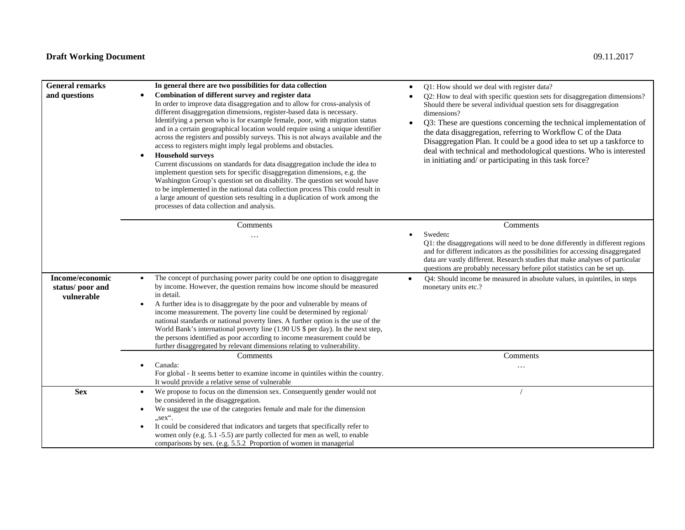| <b>General remarks</b><br>and questions          | In general there are two possibilities for data collection<br>Combination of different survey and register data<br>$\bullet$<br>In order to improve data disaggregation and to allow for cross-analysis of<br>different disaggregation dimensions, register-based data is necessary.<br>Identifying a person who is for example female, poor, with migration status<br>and in a certain geographical location would require using a unique identifier<br>across the registers and possibly surveys. This is not always available and the<br>access to registers might imply legal problems and obstacles.<br><b>Household surveys</b><br>$\bullet$<br>Current discussions on standards for data disaggregation include the idea to<br>implement question sets for specific disaggregation dimensions, e.g. the<br>Washington Group's question set on disability. The question set would have<br>to be implemented in the national data collection process This could result in<br>a large amount of question sets resulting in a duplication of work among the<br>processes of data collection and analysis. | Q1: How should we deal with register data?<br>Q2: How to deal with specific question sets for disaggregation dimensions?<br>Should there be several individual question sets for disaggregation<br>dimensions?<br>Q3: These are questions concerning the technical implementation of<br>the data disaggregation, referring to Workflow C of the Data<br>Disaggregation Plan. It could be a good idea to set up a taskforce to<br>deal with technical and methodological questions. Who is interested<br>in initiating and/ or participating in this task force? |
|--------------------------------------------------|--------------------------------------------------------------------------------------------------------------------------------------------------------------------------------------------------------------------------------------------------------------------------------------------------------------------------------------------------------------------------------------------------------------------------------------------------------------------------------------------------------------------------------------------------------------------------------------------------------------------------------------------------------------------------------------------------------------------------------------------------------------------------------------------------------------------------------------------------------------------------------------------------------------------------------------------------------------------------------------------------------------------------------------------------------------------------------------------------------------|-----------------------------------------------------------------------------------------------------------------------------------------------------------------------------------------------------------------------------------------------------------------------------------------------------------------------------------------------------------------------------------------------------------------------------------------------------------------------------------------------------------------------------------------------------------------|
|                                                  | Comments<br>.                                                                                                                                                                                                                                                                                                                                                                                                                                                                                                                                                                                                                                                                                                                                                                                                                                                                                                                                                                                                                                                                                                | Comments<br>Sweden:<br>Q1: the disaggregations will need to be done differently in different regions<br>and for different indicators as the possibilities for accessing disaggregated<br>data are vastly different. Research studies that make analyses of particular<br>questions are probably necessary before pilot statistics can be set up.                                                                                                                                                                                                                |
| Income/economic<br>status/poor and<br>vulnerable | The concept of purchasing power parity could be one option to disaggregate<br>by income. However, the question remains how income should be measured<br>in detail.<br>A further idea is to disaggregate by the poor and vulnerable by means of<br>$\bullet$<br>income measurement. The poverty line could be determined by regional/<br>national standards or national poverty lines. A further option is the use of the<br>World Bank's international poverty line $(1.90 \text{ US }$ \$ per day). In the next step,<br>the persons identified as poor according to income measurement could be<br>further disaggregated by relevant dimensions relating to vulnerability.                                                                                                                                                                                                                                                                                                                                                                                                                                 | Q4: Should income be measured in absolute values, in quintiles, in steps<br>$\bullet$<br>monetary units etc.?                                                                                                                                                                                                                                                                                                                                                                                                                                                   |
|                                                  | Comments<br>Canada:<br>For global - It seems better to examine income in quintiles within the country.<br>It would provide a relative sense of vulnerable                                                                                                                                                                                                                                                                                                                                                                                                                                                                                                                                                                                                                                                                                                                                                                                                                                                                                                                                                    | Comments<br>.                                                                                                                                                                                                                                                                                                                                                                                                                                                                                                                                                   |
| <b>Sex</b>                                       | We propose to focus on the dimension sex. Consequently gender would not<br>$\bullet$<br>be considered in the disaggregation.<br>We suggest the use of the categories female and male for the dimension<br>$\bullet$<br>"sex".                                                                                                                                                                                                                                                                                                                                                                                                                                                                                                                                                                                                                                                                                                                                                                                                                                                                                |                                                                                                                                                                                                                                                                                                                                                                                                                                                                                                                                                                 |
|                                                  | It could be considered that indicators and targets that specifically refer to<br>$\bullet$<br>women only (e.g. 5.1 -5.5) are partly collected for men as well, to enable<br>comparisons by sex. (e.g. 5.5.2 Proportion of women in managerial                                                                                                                                                                                                                                                                                                                                                                                                                                                                                                                                                                                                                                                                                                                                                                                                                                                                |                                                                                                                                                                                                                                                                                                                                                                                                                                                                                                                                                                 |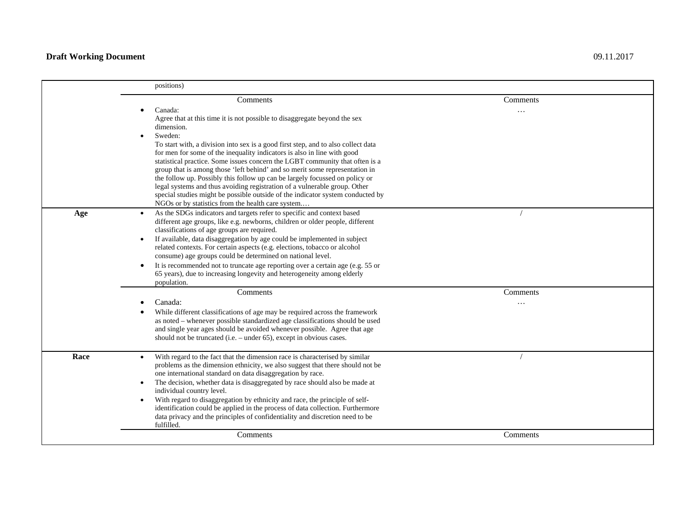|      | positions)                                                                                                                                                                                                                                                                                                                                                                                                                                                                                                                                                                                                                                                                                                                                                                |           |
|------|---------------------------------------------------------------------------------------------------------------------------------------------------------------------------------------------------------------------------------------------------------------------------------------------------------------------------------------------------------------------------------------------------------------------------------------------------------------------------------------------------------------------------------------------------------------------------------------------------------------------------------------------------------------------------------------------------------------------------------------------------------------------------|-----------|
|      | Comments                                                                                                                                                                                                                                                                                                                                                                                                                                                                                                                                                                                                                                                                                                                                                                  | Comments  |
|      | Canada:<br>$\bullet$<br>Agree that at this time it is not possible to disaggregate beyond the sex<br>dimension.<br>Sweden:<br>$\bullet$<br>To start with, a division into sex is a good first step, and to also collect data<br>for men for some of the inequality indicators is also in line with good<br>statistical practice. Some issues concern the LGBT community that often is a<br>group that is among those 'left behind' and so merit some representation in<br>the follow up. Possibly this follow up can be largely focussed on policy or<br>legal systems and thus avoiding registration of a vulnerable group. Other<br>special studies might be possible outside of the indicator system conducted by<br>NGOs or by statistics from the health care system | $\ddotsc$ |
| Age  | As the SDGs indicators and targets refer to specific and context based<br>$\bullet$<br>different age groups, like e.g. newborns, children or older people, different<br>classifications of age groups are required.<br>If available, data disaggregation by age could be implemented in subject<br>related contexts. For certain aspects (e.g. elections, tobacco or alcohol<br>consume) age groups could be determined on national level.<br>It is recommended not to truncate age reporting over a certain age (e.g. 55 or<br>65 years), due to increasing longevity and heterogeneity among elderly<br>population.                                                                                                                                                     |           |
|      | Comments                                                                                                                                                                                                                                                                                                                                                                                                                                                                                                                                                                                                                                                                                                                                                                  | Comments  |
|      | Canada:<br>While different classifications of age may be required across the framework<br>as noted - whenever possible standardized age classifications should be used<br>and single year ages should be avoided whenever possible. Agree that age<br>should not be truncated (i.e. - under 65), except in obvious cases.                                                                                                                                                                                                                                                                                                                                                                                                                                                 | .         |
| Race | With regard to the fact that the dimension race is characterised by similar<br>problems as the dimension ethnicity, we also suggest that there should not be<br>one international standard on data disaggregation by race.<br>The decision, whether data is disaggregated by race should also be made at<br>$\bullet$<br>individual country level.<br>With regard to disaggregation by ethnicity and race, the principle of self-<br>identification could be applied in the process of data collection. Furthermore<br>data privacy and the principles of confidentiality and discretion need to be<br>fulfilled.                                                                                                                                                         |           |
|      | Comments                                                                                                                                                                                                                                                                                                                                                                                                                                                                                                                                                                                                                                                                                                                                                                  | Comments  |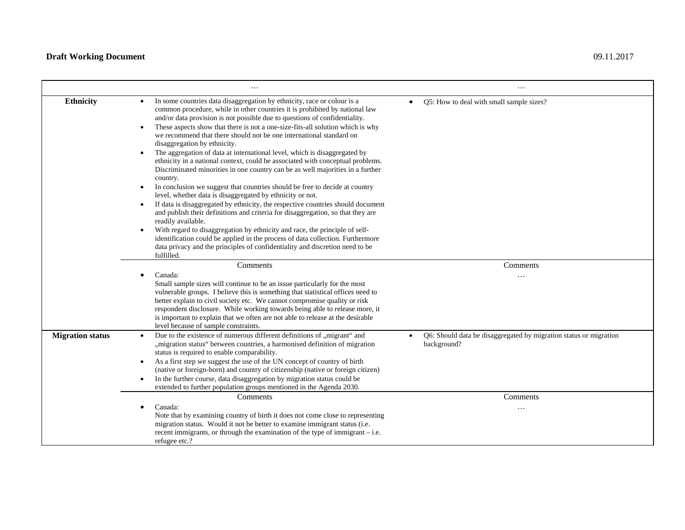|                         | $\ddotsc$                                                                                                                                                                                                                                                                                                                                                                                                                                                                                                                                                                                                                                                                                                                                                                                                                                                                                                                                                                                                                                                                                                                                                                                                                                                                                                                                                                       | .                                                                                             |
|-------------------------|---------------------------------------------------------------------------------------------------------------------------------------------------------------------------------------------------------------------------------------------------------------------------------------------------------------------------------------------------------------------------------------------------------------------------------------------------------------------------------------------------------------------------------------------------------------------------------------------------------------------------------------------------------------------------------------------------------------------------------------------------------------------------------------------------------------------------------------------------------------------------------------------------------------------------------------------------------------------------------------------------------------------------------------------------------------------------------------------------------------------------------------------------------------------------------------------------------------------------------------------------------------------------------------------------------------------------------------------------------------------------------|-----------------------------------------------------------------------------------------------|
| <b>Ethnicity</b>        | In some countries data disaggregation by ethnicity, race or colour is a<br>$\bullet$<br>common procedure, while in other countries it is prohibited by national law<br>and/or data provision is not possible due to questions of confidentiality.<br>These aspects show that there is not a one-size-fits-all solution which is why<br>$\bullet$<br>we recommend that there should not be one international standard on<br>disaggregation by ethnicity.<br>The aggregation of data at international level, which is disaggregated by<br>$\bullet$<br>ethnicity in a national context, could be associated with conceptual problems.<br>Discriminated minorities in one country can be as well majorities in a further<br>country.<br>In conclusion we suggest that countries should be free to decide at country<br>$\bullet$<br>level, whether data is disaggregated by ethnicity or not.<br>If data is disaggregated by ethnicity, the respective countries should document<br>$\bullet$<br>and publish their definitions and criteria for disaggregation, so that they are<br>readily available.<br>With regard to disaggregation by ethnicity and race, the principle of self-<br>$\bullet$<br>identification could be applied in the process of data collection. Furthermore<br>data privacy and the principles of confidentiality and discretion need to be<br>fulfilled. | Q5: How to deal with small sample sizes?                                                      |
|                         | Comments                                                                                                                                                                                                                                                                                                                                                                                                                                                                                                                                                                                                                                                                                                                                                                                                                                                                                                                                                                                                                                                                                                                                                                                                                                                                                                                                                                        | Comments                                                                                      |
|                         | Canada:<br>Small sample sizes will continue to be an issue particularly for the most<br>vulnerable groups. I believe this is something that statistical offices need to<br>better explain to civil society etc. We cannot compromise quality or risk<br>respondent disclosure. While working towards being able to release more, it<br>is important to explain that we often are not able to release at the desirable<br>level because of sample constraints.                                                                                                                                                                                                                                                                                                                                                                                                                                                                                                                                                                                                                                                                                                                                                                                                                                                                                                                   | .                                                                                             |
| <b>Migration status</b> | Due to the existence of numerous different definitions of "migrant" and<br>$\bullet$<br>"migration status" between countries, a harmonised definition of migration<br>status is required to enable comparability.<br>As a first step we suggest the use of the UN concept of country of birth<br>$\bullet$<br>(native or foreign-born) and country of citizenship (native or foreign citizen)<br>In the further course, data disaggregation by migration status could be<br>$\bullet$<br>extended to further population groups mentioned in the Agenda 2030.                                                                                                                                                                                                                                                                                                                                                                                                                                                                                                                                                                                                                                                                                                                                                                                                                    | Q6: Should data be disaggregated by migration status or migration<br>$\bullet$<br>background? |
|                         | Comments                                                                                                                                                                                                                                                                                                                                                                                                                                                                                                                                                                                                                                                                                                                                                                                                                                                                                                                                                                                                                                                                                                                                                                                                                                                                                                                                                                        | Comments                                                                                      |
|                         | Canada:<br>$\bullet$<br>Note that by examining country of birth it does not come close to representing<br>migration status. Would it not be better to examine immigrant status (i.e.<br>recent immigrants, or through the examination of the type of immigrant – i.e.<br>refugee etc.?                                                                                                                                                                                                                                                                                                                                                                                                                                                                                                                                                                                                                                                                                                                                                                                                                                                                                                                                                                                                                                                                                          | .                                                                                             |